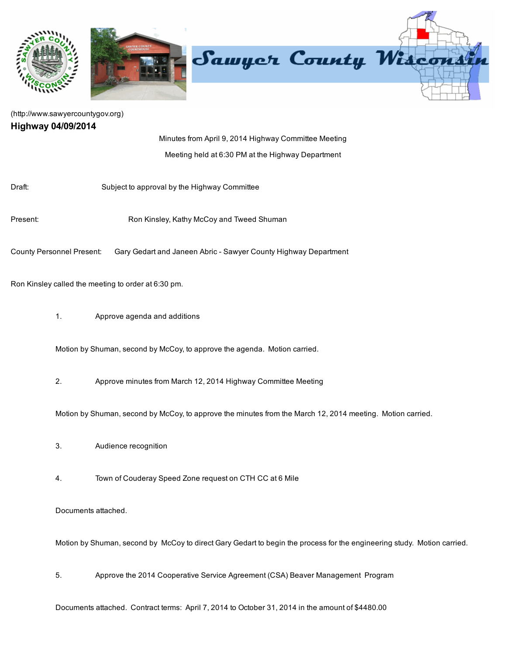

## [\(http://www.sawyercountygov.org\)](http://www.sawyercountygov.org/) Highway 04/09/2014

Minutes from April 9, 2014 Highway Committee Meeting Meeting held at 6:30 PM at the Highway Department

Draft: Subject to approval by the Highway Committee

Present: **Ron Kinsley, Kathy McCoy and Tweed Shuman** 

County Personnel Present: Gary Gedart and Janeen Abric Sawyer County Highway Department

Ron Kinsley called the meeting to order at 6:30 pm.

1. Approve agenda and additions

Motion by Shuman, second by McCoy, to approve the agenda. Motion carried.

2. Approve minutes from March 12, 2014 Highway Committee Meeting

Motion by Shuman, second by McCoy, to approve the minutes from the March 12, 2014 meeting. Motion carried.

- 3. Audience recognition
- 4. Town of Couderay Speed Zone request on CTH CC at 6 Mile

Documents attached.

Motion by Shuman, second by McCoy to direct Gary Gedart to begin the process for the engineering study. Motion carried.

5. Approve the 2014 Cooperative Service Agreement (CSA) Beaver Management Program

Documents attached. Contract terms: April 7, 2014 to October 31, 2014 in the amount of \$4480.00